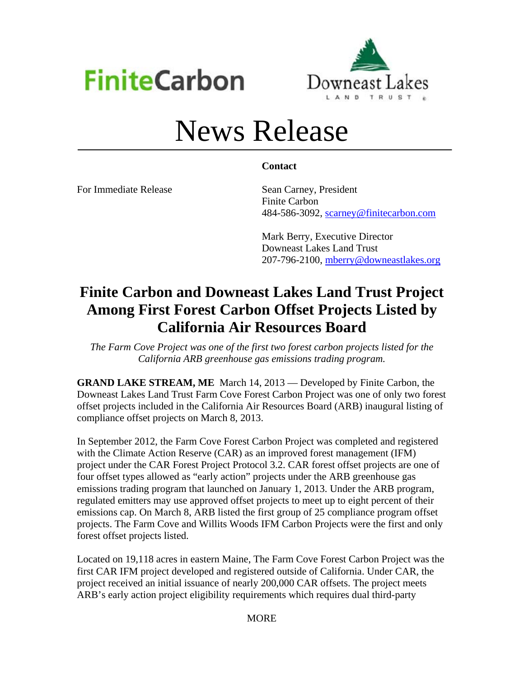



# News Release

### **Contact**

For Immediate Release Sean Carney, President

 Finite Carbon 484-586-3092, scarney@finitecarbon.com

 Mark Berry, Executive Director Downeast Lakes Land Trust 207-796-2100, mberry@downeastlakes.org

## **Finite Carbon and Downeast Lakes Land Trust Project Among First Forest Carbon Offset Projects Listed by California Air Resources Board**

*The Farm Cove Project was one of the first two forest carbon projects listed for the California ARB greenhouse gas emissions trading program.* 

**GRAND LAKE STREAM, ME** March 14, 2013 — Developed by Finite Carbon, the Downeast Lakes Land Trust Farm Cove Forest Carbon Project was one of only two forest offset projects included in the California Air Resources Board (ARB) inaugural listing of compliance offset projects on March 8, 2013.

In September 2012, the Farm Cove Forest Carbon Project was completed and registered with the Climate Action Reserve (CAR) as an improved forest management (IFM) project under the CAR Forest Project Protocol 3.2. CAR forest offset projects are one of four offset types allowed as "early action" projects under the ARB greenhouse gas emissions trading program that launched on January 1, 2013. Under the ARB program, regulated emitters may use approved offset projects to meet up to eight percent of their emissions cap. On March 8, ARB listed the first group of 25 compliance program offset projects. The Farm Cove and Willits Woods IFM Carbon Projects were the first and only forest offset projects listed.

Located on 19,118 acres in eastern Maine, The Farm Cove Forest Carbon Project was the first CAR IFM project developed and registered outside of California. Under CAR, the project received an initial issuance of nearly 200,000 CAR offsets. The project meets ARB's early action project eligibility requirements which requires dual third-party